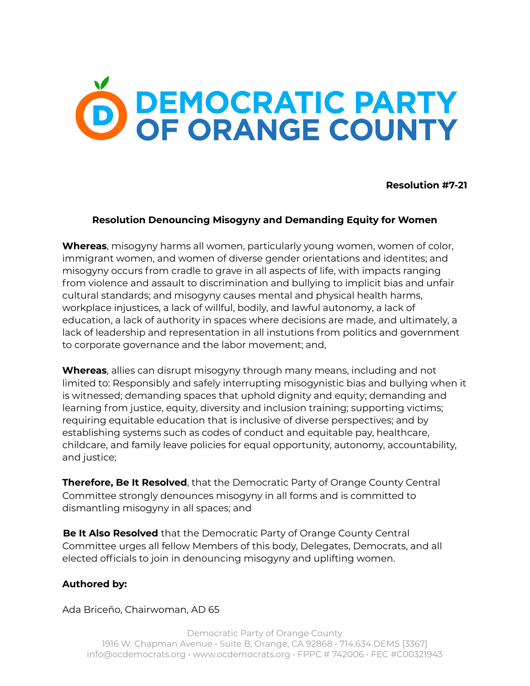## O DEMOCRATIC PARTY<br>OF ORANGE COUNTY

**Resolution #7-21**

## **Resolution Denouncing Misogyny and Demanding Equity for Women**

**Whereas**, misogyny harms all women, particularly young women, women of color, immigrant women, and women of diverse gender orientations and identites; and misogyny occurs from cradle to grave in all aspects of life, with impacts ranging from violence and assault to discrimination and bullying to implicit bias and unfair cultural standards; and misogyny causes mental and physical health harms, workplace injustices, a lack of willful, bodily, and lawful autonomy, a lack of education, a lack of authority in spaces where decisions are made, and ultimately, a lack of leadership and representation in all instutions from politics and government to corporate governance and the labor movement; and,

**Whereas**, allies can disrupt misogyny through many means, including and not limited to: Responsibly and safely interrupting misogynistic bias and bullying when it is witnessed; demanding spaces that uphold dignity and equity; demanding and learning from justice, equity, diversity and inclusion training; supporting victims; requiring equitable education that is inclusive of diverse perspectives; and by establishing systems such as codes of conduct and equitable pay, healthcare, childcare, and family leave policies for equal opportunity, autonomy, accountability, and justice;

**Therefore, Be It Resolved**, that the Democratic Party of Orange County Central Committee strongly denounces misogyny in all forms and is committed to dismantling misogyny in all spaces; and

**Be It Also Resolved** that the Democratic Party of Orange County Central Committee urges all fellow Members of this body, Delegates, Democrats, and all elected officials to join in denouncing misogyny and uplifting women.

## **Authored by:**

Ada Briceño, Chairwoman, AD 65